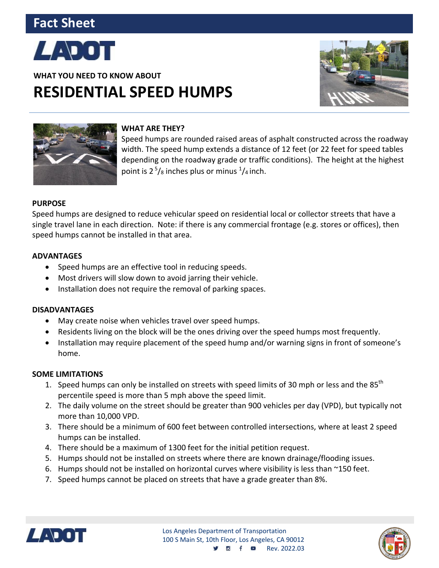# **Fact Sheet**



**WHAT YOU NEED TO KNOW ABOUT RESIDENTIAL SPEED HUMPS**





#### **WHAT ARE THEY?**

Speed humps are rounded raised areas of asphalt constructed across the roadway width. The speed hump extends a distance of 12 feet (or 22 feet for speed tables depending on the roadway grade or traffic conditions). The height at the highest point is  $2^5/s$  inches plus or minus  $^1/s$  inch.

## **PURPOSE**

Speed humps are designed to reduce vehicular speed on residential local or collector streets that have a single travel lane in each direction. Note: if there is any commercial frontage (e.g. stores or offices), then speed humps cannot be installed in that area.

## **ADVANTAGES**

- Speed humps are an effective tool in reducing speeds.
- Most drivers will slow down to avoid jarring their vehicle.
- Installation does not require the removal of parking spaces.

#### **DISADVANTAGES**

- May create noise when vehicles travel over speed humps.
- Residents living on the block will be the ones driving over the speed humps most frequently.
- Installation may require placement of the speed hump and/or warning signs in front of someone's home.

#### **SOME LIMITATIONS**

- 1. Speed humps can only be installed on streets with speed limits of 30 mph or less and the 85<sup>th</sup> percentile speed is more than 5 mph above the speed limit.
- 2. The daily volume on the street should be greater than 900 vehicles per day (VPD), but typically not more than 10,000 VPD.
- 3. There should be a minimum of 600 feet between controlled intersections, where at least 2 speed humps can be installed.
- 4. There should be a maximum of 1300 feet for the initial petition request.
- 5. Humps should not be installed on streets where there are known drainage/flooding issues.
- 6. Humps should not be installed on horizontal curves where visibility is less than ~150 feet.
- 7. Speed humps cannot be placed on streets that have a grade greater than 8%.